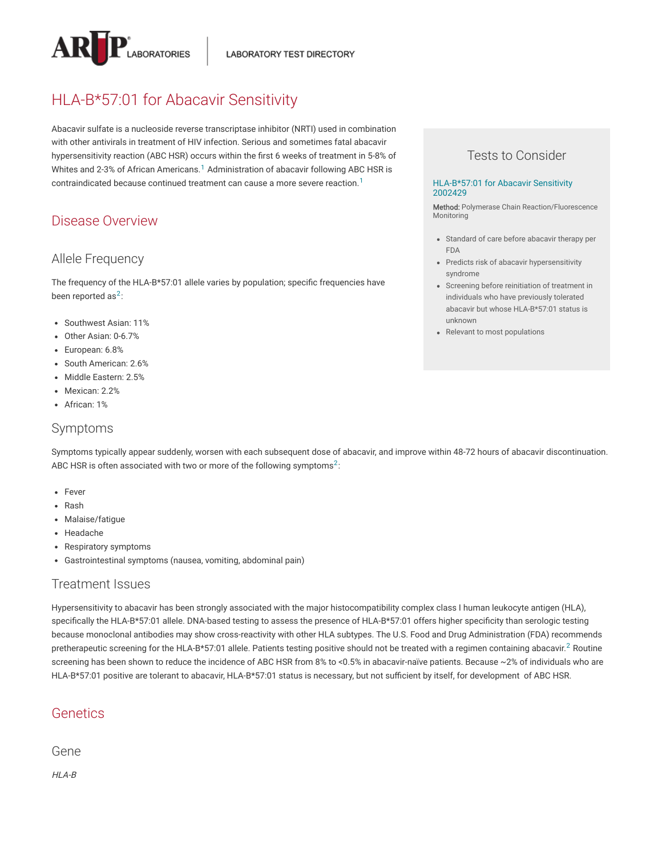

# HLA-B\*57:01 for Abacavir Sensitivity

Abacavir sulfate is a nucleoside reverse transcriptase inhibitor (NRTI) used in combination with other antivirals in treatment of HIV infection. Serious and sometimes fatal abacavir hypersensitivity reaction (ABC HSR) occurs within the first 6 weeks of treatment in 5-8% of Whites and 2-3% of African Americans. $^1$  $^1$  Administration of abacavir following ABC HSR is contraindicated because continued treatment can cause a more severe reaction. $^1$  $^1$ 

### Disease Overview

### Allele Frequency

The frequency of the HLA-B\*57:01 allele varies by population; specific frequencies have been reported as<sup>[2](#page-1-1)</sup>:

- Southwest Asian: 11%
- Other Asian: 0-6.7%
- European: 6.8%
- South American: 2.6%
- Middle Eastern: 2.5%
- Mexican: 2.2%
- African: 1%

#### Symptoms

Symptoms typically appear suddenly, worsen with each subsequent dose of abacavir, and improve within 48-72 hours of abacavir discontinuation. ABC HSR is often associated with two or more of the following symptoms<sup>[2](#page-1-1)</sup>:

- Fever
- Rash
- Malaise/fatigue
- Headache
- Respiratory symptoms
- Gastrointestinal symptoms (nausea, vomiting, abdominal pain)

#### Treatment Issues

Hypersensitivity to abacavir has been strongly associated with the major histocompatibility complex class I human leukocyte antigen (HLA), specifically the HLA-B\*57:01 allele. DNA-based testing to assess the presence of HLA-B\*57:01 offers higher specificity than serologic testing because monoclonal antibodies may show cross-reactivity with other HLA subtypes. The U.S. Food and Drug Administration (FDA) recommends pretherapeutic screening for the HLA-B\*57:01 allele. Patients testing positive should not be treated with a regimen containing abacavir.<sup>[2](#page-1-1)</sup> Routine screening has been shown to reduce the incidence of ABC HSR from 8% to <0.5% in abacavir-naïve patients. Because ~2% of individuals who are HLA-B\*57:01 positive are tolerant to abacavir, HLA-B\*57:01 status is necessary, but not sufficient by itself, for development of ABC HSR.

## **Genetics**

Gene

HLA-B

### Tests to Consider

#### [HLA-B\\*57:01 for](https://ltd.aruplab.com/Tests/Pub/2002429) Abacavir Sensitivity 2002429

Method: Polymerase Chain Reaction/Fluorescence Monitoring

- Standard of care before abacavir therapy per FDA
- Predicts risk of abacavir hypersensitivity syndrome
- Screening before reinitiation of treatment in individuals who have previously tolerated abacavir but whose HLA-B\*57:01 status is unknown
- Relevant to most populations